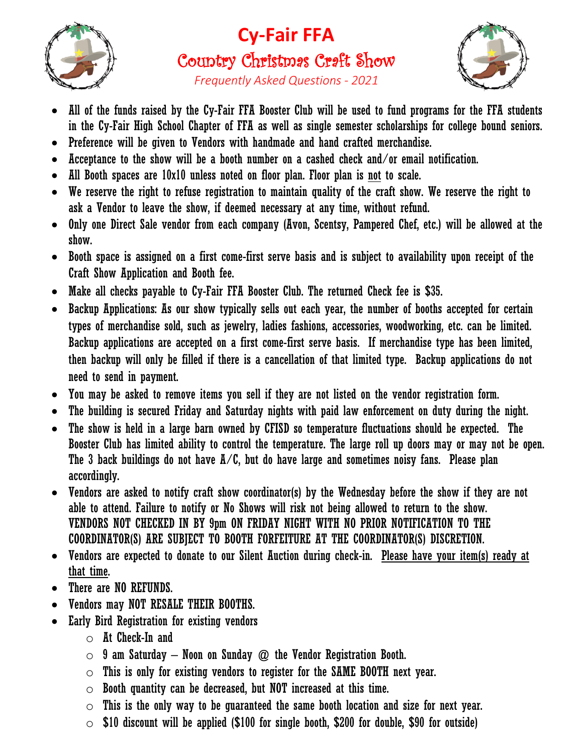

## **Cy-Fair FFA** Country Christmas Craft Show



*Frequently Asked Questions - 2021*

- All of the funds raised by the Cy-Fair FFA Booster Club will be used to fund programs for the FFA students in the Cy-Fair High School Chapter of FFA as well as single semester scholarships for college bound seniors.
- Preference will be given to Vendors with handmade and hand crafted merchandise.
- $\bullet$  Acceptance to the show will be a booth number on a cashed check and/or email notification.
- All Booth spaces are 10x10 unless noted on floor plan. Floor plan is not to scale.
- We reserve the right to refuse registration to maintain quality of the craft show. We reserve the right to ask a Vendor to leave the show, if deemed necessary at any time, without refund.
- Only one Direct Sale vendor from each company (Avon, Scentsy, Pampered Chef, etc.) will be allowed at the show.
- Booth space is assigned on a first come-first serve basis and is subject to availability upon receipt of the Craft Show Application and Booth fee.
- Make all checks payable to Cy-Fair FFA Booster Club. The returned Check fee is \$35.
- Backup Applications: As our show typically sells out each year, the number of booths accepted for certain types of merchandise sold, such as jewelry, ladies fashions, accessories, woodworking, etc. can be limited. Backup applications are accepted on a first come-first serve basis. If merchandise type has been limited, then backup will only be filled if there is a cancellation of that limited type. Backup applications do not need to send in payment.
- You may be asked to remove items you sell if they are not listed on the vendor registration form.
- The building is secured Friday and Saturday nights with paid law enforcement on duty during the night.
- The show is held in a large barn owned by CFISD so temperature fluctuations should be expected. The Booster Club has limited ability to control the temperature. The large roll up doors may or may not be open. The 3 back buildings do not have  $A/C$ , but do have large and sometimes noisy fans. Please plan accordingly.
- Vendors are asked to notify craft show coordinator(s) by the Wednesday before the show if they are not able to attend. Failure to notify or No Shows will risk not being allowed to return to the show. VENDORS NOT CHECKED IN BY 9pm ON FRIDAY NIGHT WITH NO PRIOR NOTIFICATION TO THE COORDINATOR(S) ARE SUBJECT TO BOOTH FORFEITURE AT THE COORDINATOR(S) DISCRETION.
- Vendors are expected to donate to our Silent Auction during check-in. Please have your item(s) ready at that time.
- There are NO REFUNDS.
- Vendors may NOT RESALE THEIR BOOTHS.
- Early Bird Registration for existing vendors
	- $\circ$  At Check-In and
	- $\circ$  9 am Saturday Noon on Sunday  $\omega$  the Vendor Registration Booth.
	- $\circ$  This is only for existing vendors to register for the SAME BOOTH next year.
	- $\circ$  Booth quantity can be decreased, but NOT increased at this time.
	- $\circ$  This is the only way to be quaranteed the same booth location and size for next year.
	- $\circ$  \$10 discount will be applied (\$100 for single booth, \$200 for double, \$90 for outside)